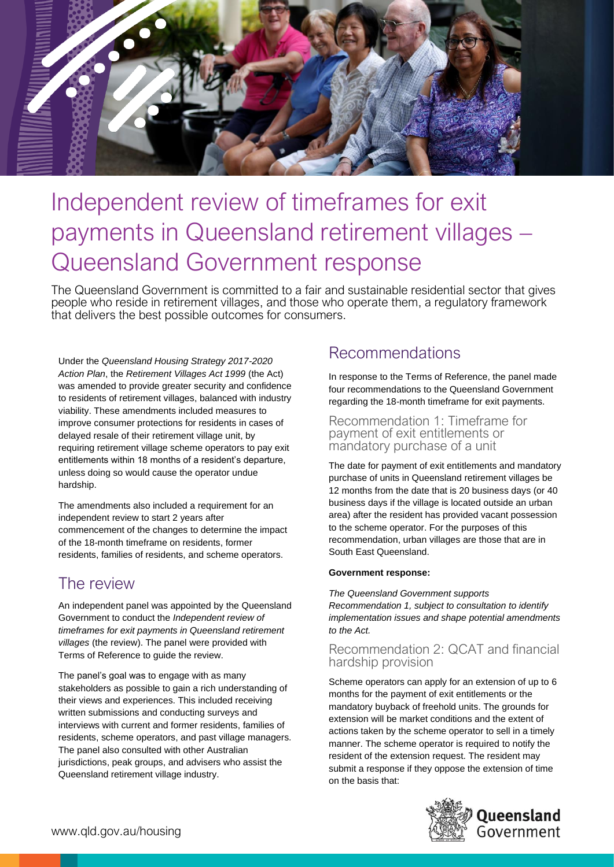

# Independent review of timeframes for exit payments in Queensland retirement villages – Queensland Government response

The Queensland Government is committed to a fair and sustainable residential sector that gives people who reside in retirement villages, and those who operate them, a regulatory framework that delivers the best possible outcomes for consumers.

Under the *Queensland Housing Strategy 2017-2020 Action Plan*, the *Retirement Villages Act 1999* (the Act) was amended to provide greater security and confidence to residents of retirement villages, balanced with industry viability. These amendments included measures to improve consumer protections for residents in cases of delayed resale of their retirement village unit, by requiring retirement village scheme operators to pay exit entitlements within 18 months of a resident's departure, unless doing so would cause the operator undue hardship.

The amendments also included a requirement for an independent review to start 2 years after commencement of the changes to determine the impact of the 18-month timeframe on residents, former residents, families of residents, and scheme operators.

# The review

An independent panel was appointed by the Queensland Government to conduct the *Independent review of timeframes for exit payments in Queensland retirement villages* (the review). The panel were provided with Terms of Reference to guide the review.

The panel's goal was to engage with as many stakeholders as possible to gain a rich understanding of their views and experiences. This included receiving written submissions and conducting surveys and interviews with current and former residents, families of residents, scheme operators, and past village managers. The panel also consulted with other Australian jurisdictions, peak groups, and advisers who assist the Queensland retirement village industry.

# Recommendations

In response to the Terms of Reference, the panel made four recommendations to the Queensland Government regarding the 18-month timeframe for exit payments.

Recommendation 1: Timeframe for payment of exit entitlements or mandatory purchase of a unit

The date for payment of exit entitlements and mandatory purchase of units in Queensland retirement villages be 12 months from the date that is 20 business days (or 40 business days if the village is located outside an urban area) after the resident has provided vacant possession to the scheme operator. For the purposes of this recommendation, urban villages are those that are in South East Queensland.

### **Government response:**

*The Queensland Government supports Recommendation 1, subject to consultation to identify implementation issues and shape potential amendments to the Act.* 

### Recommendation 2: QCAT and financial hardship provision

Scheme operators can apply for an extension of up to 6 months for the payment of exit entitlements or the mandatory buyback of freehold units. The grounds for extension will be market conditions and the extent of actions taken by the scheme operator to sell in a timely manner. The scheme operator is required to notify the resident of the extension request. The resident may submit a response if they oppose the extension of time on the basis that:

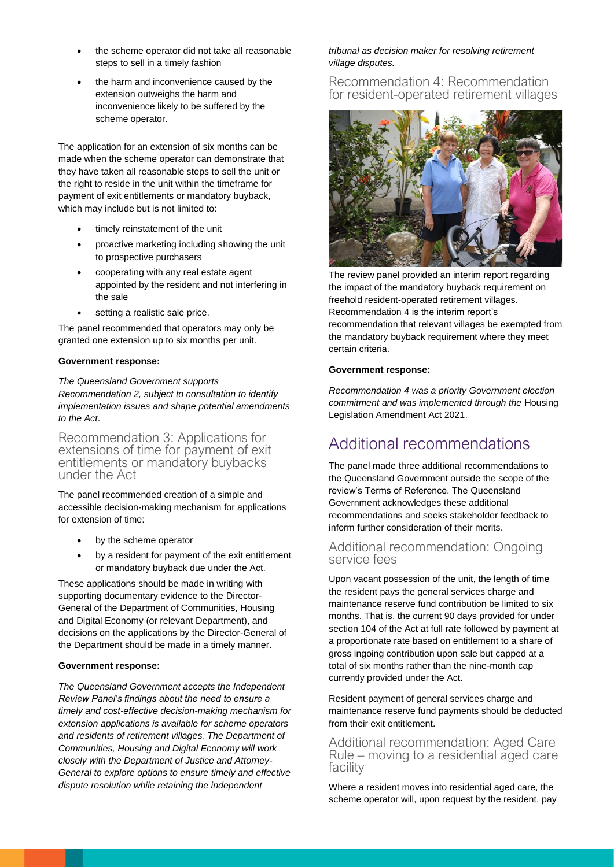- the scheme operator did not take all reasonable steps to sell in a timely fashion
- the harm and inconvenience caused by the extension outweighs the harm and inconvenience likely to be suffered by the scheme operator.

The application for an extension of six months can be made when the scheme operator can demonstrate that they have taken all reasonable steps to sell the unit or the right to reside in the unit within the timeframe for payment of exit entitlements or mandatory buyback, which may include but is not limited to:

- timely reinstatement of the unit
- proactive marketing including showing the unit to prospective purchasers
- cooperating with any real estate agent appointed by the resident and not interfering in the sale
- setting a realistic sale price.

The panel recommended that operators may only be granted one extension up to six months per unit.

#### **Government response:**

*The Queensland Government supports Recommendation 2, subject to consultation to identify implementation issues and shape potential amendments to the Act*.

Recommendation 3: Applications for extensions of time for payment of exit entitlements or mandatory buybacks under the Act

The panel recommended creation of a simple and accessible decision-making mechanism for applications for extension of time:

- by the scheme operator
- by a resident for payment of the exit entitlement or mandatory buyback due under the Act.

These applications should be made in writing with supporting documentary evidence to the Director-General of the Department of Communities, Housing and Digital Economy (or relevant Department), and decisions on the applications by the Director-General of the Department should be made in a timely manner.

#### **Government response:**

*The Queensland Government accepts the Independent Review Panel's findings about the need to ensure a timely and cost-effective decision-making mechanism for extension applications is available for scheme operators and residents of retirement villages. The Department of Communities, Housing and Digital Economy will work closely with the Department of Justice and Attorney-General to explore options to ensure timely and effective dispute resolution while retaining the independent* 

### *tribunal as decision maker for resolving retirement village disputes.*

Recommendation 4: Recommendation for resident-operated retirement villages



The review panel provided an interim report regarding the impact of the mandatory buyback requirement on freehold resident-operated retirement villages. Recommendation 4 is the interim report's recommendation that relevant villages be exempted from the mandatory buyback requirement where they meet certain criteria.

#### **Government response:**

*Recommendation 4 was a priority Government election commitment and was implemented through the* Housing Legislation Amendment Act 2021.

## Additional recommendations

The panel made three additional recommendations to the Queensland Government outside the scope of the review's Terms of Reference. The Queensland Government acknowledges these additional recommendations and seeks stakeholder feedback to inform further consideration of their merits.

### Additional recommendation: Ongoing service fees

Upon vacant possession of the unit, the length of time the resident pays the general services charge and maintenance reserve fund contribution be limited to six months. That is, the current 90 days provided for under section 104 of the Act at full rate followed by payment at a proportionate rate based on entitlement to a share of gross ingoing contribution upon sale but capped at a total of six months rather than the nine-month cap currently provided under the Act.

Resident payment of general services charge and maintenance reserve fund payments should be deducted from their exit entitlement.

Additional recommendation: Aged Care Rule – moving to a residential aged care facility

Where a resident moves into residential aged care, the scheme operator will, upon request by the resident, pay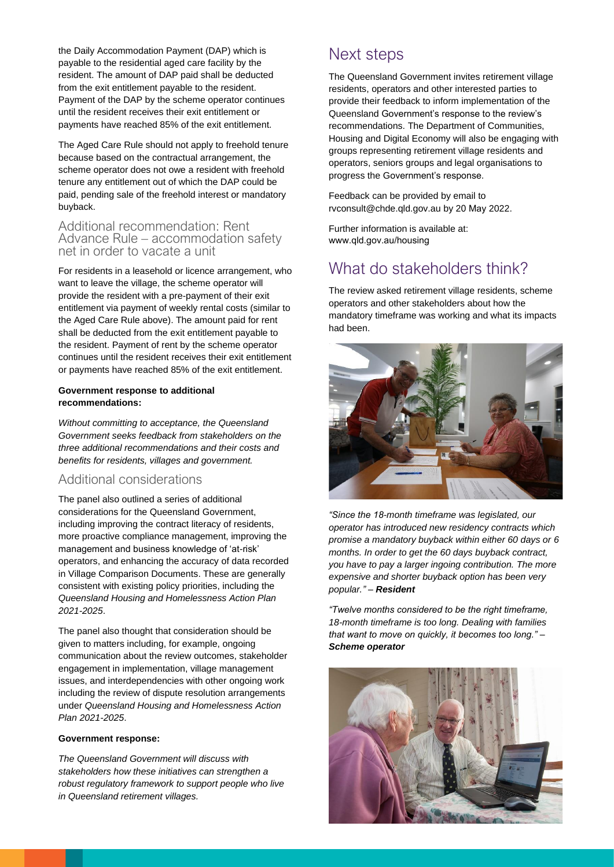the Daily Accommodation Payment (DAP) which is payable to the residential aged care facility by the resident. The amount of DAP paid shall be deducted from the exit entitlement payable to the resident. Payment of the DAP by the scheme operator continues until the resident receives their exit entitlement or payments have reached 85% of the exit entitlement.

The Aged Care Rule should not apply to freehold tenure because based on the contractual arrangement, the scheme operator does not owe a resident with freehold tenure any entitlement out of which the DAP could be paid, pending sale of the freehold interest or mandatory buyback.

### Additional recommendation: Rent Advance Rule – accommodation safety net in order to vacate a unit

For residents in a leasehold or licence arrangement, who want to leave the village, the scheme operator will provide the resident with a pre-payment of their exit entitlement via payment of weekly rental costs (similar to the Aged Care Rule above). The amount paid for rent shall be deducted from the exit entitlement payable to the resident. Payment of rent by the scheme operator continues until the resident receives their exit entitlement or payments have reached 85% of the exit entitlement.

#### **Government response to additional recommendations:**

*Without committing to acceptance, the Queensland Government seeks feedback from stakeholders on the three additional recommendations and their costs and benefits for residents, villages and government.*

### Additional considerations

The panel also outlined a series of additional considerations for the Queensland Government, including improving the contract literacy of residents, more proactive compliance management, improving the management and business knowledge of 'at-risk' operators, and enhancing the accuracy of data recorded in Village Comparison Documents. These are generally consistent with existing policy priorities, including the *Queensland Housing and Homelessness Action Plan 2021-2025*.

The panel also thought that consideration should be given to matters including, for example, ongoing communication about the review outcomes, stakeholder engagement in implementation, village management issues, and interdependencies with other ongoing work including the review of dispute resolution arrangements under *Queensland Housing and Homelessness Action Plan 2021-2025*.

#### **Government response:**

*The Queensland Government will discuss with stakeholders how these initiatives can strengthen a robust regulatory framework to support people who live in Queensland retirement villages.*

# Next steps

The Queensland Government invites retirement village residents, operators and other interested parties to provide their feedback to inform implementation of the Queensland Government's response to the review's recommendations. The Department of Communities, Housing and Digital Economy will also be engaging with groups representing retirement village residents and operators, seniors groups and legal organisations to progress the Government's response.

Feedback can be provided by email to rvconsult@chde.qld.gov.au by 20 May 2022.

Further information is available at: www.qld.gov.au/housing

# What do stakeholders think?

The review asked retirement village residents, scheme operators and other stakeholders about how the mandatory timeframe was working and what its impacts had been.



*"Since the 18-month timeframe was legislated, our operator has introduced new residency contracts which promise a mandatory buyback within either 60 days or 6 months. In order to get the 60 days buyback contract, you have to pay a larger ingoing contribution. The more expensive and shorter buyback option has been very popular." – Resident*

*"Twelve months considered to be the right timeframe, 18-month timeframe is too long. Dealing with families that want to move on quickly, it becomes too long." – Scheme operator*